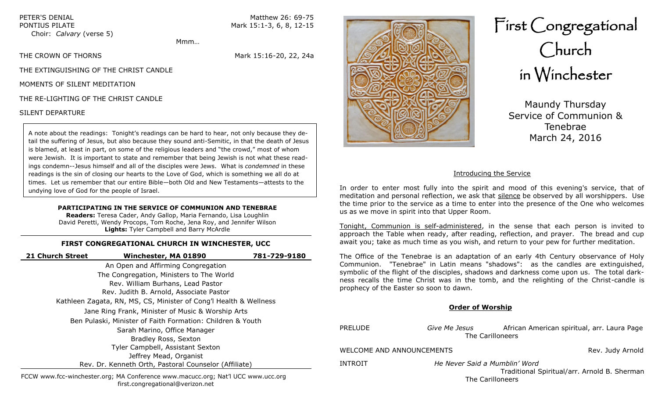Choir: *Calvary* (verse 5)

PETER'S DENIAL Matthew 26: 69-75 PONTIUS PILATE Mark 15:1-3, 6, 8, 12-15

Mmm…

THE CROWN OF THORNS **Mark 15:16-20, 22, 24a** 

THE EXTINGUISHING OF THE CHRIST CANDLE

MOMENTS OF SILENT MEDITATION

THE RE-LIGHTING OF THE CHRIST CANDLE

# SILENT DEPARTURE

A note about the readings: Tonight's readings can be hard to hear, not only because they detail the suffering of Jesus, but also because they sound anti-Semitic, in that the death of Jesus is blamed, at least in part, on some of the religious leaders and "the crowd," most of whom were Jewish. It is important to state and remember that being Jewish is not what these readings condemn--Jesus himself and all of the disciples were Jews. What is *condemned* in these readings is the sin of closing our hearts to the Love of God, which is something we all do at times. Let us remember that our entire Bible—both Old and New Testaments—attests to the undying love of God for the people of Israel.

# **PARTICIPATING IN THE SERVICE OF COMMUNION AND TENEBRAE**

**Readers:** Teresa Cader, Andy Gallop, Maria Fernando, Lisa Loughlin David Peretti, Wendy Procops, Tom Roche, Jena Roy, and Jennifer Wilson **Lights:** Tyler Campbell and Barry McArdle

# **FIRST CONGREGATIONAL CHURCH IN WINCHESTER, UCC**

| 21 Church Street                                                  | Winchester, MA 01890                              | 781-729-9180 |  |  |
|-------------------------------------------------------------------|---------------------------------------------------|--------------|--|--|
|                                                                   | An Open and Affirming Congregation                |              |  |  |
| The Congregation, Ministers to The World                          |                                                   |              |  |  |
|                                                                   | Rev. William Burhans, Lead Pastor                 |              |  |  |
|                                                                   | Rev. Judith B. Arnold, Associate Pastor           |              |  |  |
| Kathleen Zagata, RN, MS, CS, Minister of Cong'l Health & Wellness |                                                   |              |  |  |
|                                                                   | Jane Ring Frank, Minister of Music & Worship Arts |              |  |  |
| Ben Pulaski, Minister of Faith Formation: Children & Youth        |                                                   |              |  |  |
| Sarah Marino, Office Manager                                      |                                                   |              |  |  |
| Bradley Ross, Sexton                                              |                                                   |              |  |  |
| Tyler Campbell, Assistant Sexton                                  |                                                   |              |  |  |
| Jeffrey Mead, Organist                                            |                                                   |              |  |  |
| Rev. Dr. Kenneth Orth, Pastoral Counselor (Affiliate)             |                                                   |              |  |  |
|                                                                   |                                                   |              |  |  |



# First Congregational Church in Winchester

Maundy Thursday Service of Communion & Tenebrae March 24, 2016

# Introducing the Service

In order to enter most fully into the spirit and mood of this evening's service, that of meditation and personal reflection, we ask that silence be observed by all worshippers. Use the time prior to the service as a time to enter into the presence of the One who welcomes us as we move in spirit into that Upper Room.

Tonight, Communion is self-administered, in the sense that each person is invited to approach the Table when ready, after reading, reflection, and prayer. The bread and cup await you; take as much time as you wish, and return to your pew for further meditation.

The Office of the Tenebrae is an adaptation of an early 4th Century observance of Holy Communion. "Tenebrae" in Latin means "shadows": as the candles are extinguished, symbolic of the flight of the disciples, shadows and darkness come upon us. The total darkness recalls the time Christ was in the tomb, and the relighting of the Christ-candle is prophecy of the Easter so soon to dawn.

# **Order of Worship**

| <b>PRELUDE</b>            | Give Me Jesus<br>The Carilloneers                 | African American spiritual, arr. Laura Page  |
|---------------------------|---------------------------------------------------|----------------------------------------------|
| WELCOME AND ANNOUNCEMENTS |                                                   | Rev. Judy Arnold                             |
| INTROIT                   | He Never Said a Mumblin' Word<br>The Carilloneers | Traditional Spiritual/arr. Arnold B. Sherman |

FCCW www.fcc-winchester.org; MA Conference www.macucc.org; Nat'l UCC www.ucc.org first.congregational@verizon.net